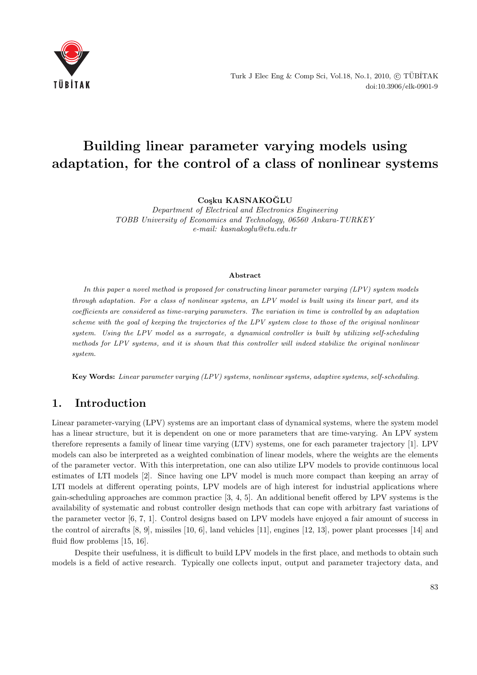

Turk J Elec Eng & Comp Sci, Vol.18, No.1, 2010,  $\circledC$  TÜBİTAK doi:10.3906/elk-0901-9

# **Building linear parameter varying models using adaptation, for the control of a class of nonlinear systems**

**Co¸sku KASNAKOGLU ˘**

Department of Electrical and Electronics Engineering TOBB University of Economics and Technology, 06560 Ankara-TURKEY e-mail: kasnakoglu@etu.edu.tr

#### **Abstract**

*In this paper a novel method is proposed for constructing linear parameter varying (LPV) system models through adaptation. For a class of nonlinear systems, an LPV model is built using its linear part, and its coefficients are considered as time-varying parameters. The variation in time is controlled by an adaptation scheme with the goal of keeping the trajectories of the LPV system close to those of the original nonlinear system. Using the LPV model as a surrogate, a dynamical controller is built by utilizing self-scheduling methods for LPV systems, and it is shown that this controller will indeed stabilize the original nonlinear system.*

**Key Words:** *Linear parameter varying (LPV) systems, nonlinear systems, adaptive systems, self-scheduling.*

#### **1. Introduction**

Linear parameter-varying (LPV) systems are an important class of dynamical systems, where the system model has a linear structure, but it is dependent on one or more parameters that are time-varying. An LPV system therefore represents a family of linear time varying (LTV) systems, one for each parameter trajectory [1]. LPV models can also be interpreted as a weighted combination of linear models, where the weights are the elements of the parameter vector. With this interpretation, one can also utilize LPV models to provide continuous local estimates of LTI models [2]. Since having one LPV model is much more compact than keeping an array of LTI models at different operating points, LPV models are of high interest for industrial applications where gain-scheduling approaches are common practice [3, 4, 5]. An additional benefit offered by LPV systems is the availability of systematic and robust controller design methods that can cope with arbitrary fast variations of the parameter vector [6, 7, 1]. Control designs based on LPV models have enjoyed a fair amount of success in the control of aircrafts [8, 9], missiles [10, 6], land vehicles [11], engines [12, 13], power plant processes [14] and fluid flow problems [15, 16].

Despite their usefulness, it is difficult to build LPV models in the first place, and methods to obtain such models is a field of active research. Typically one collects input, output and parameter trajectory data, and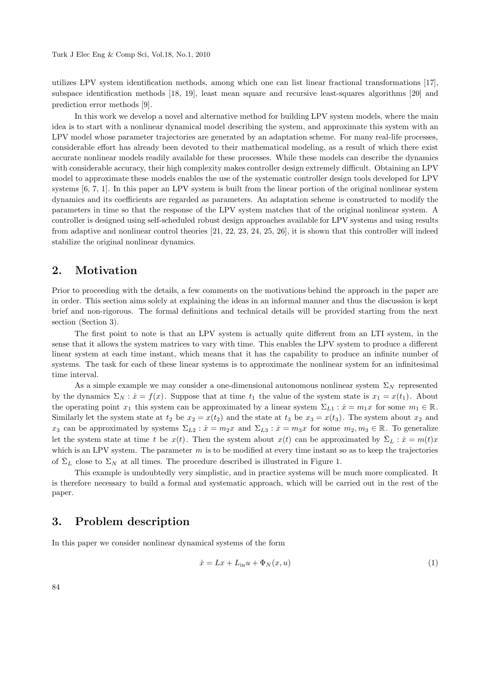utilizes LPV system identification methods, among which one can list linear fractional transformations [17], subspace identification methods [18, 19], least mean square and recursive least-squares algorithms [20] and prediction error methods [9].

In this work we develop a novel and alternative method for building LPV system models, where the main idea is to start with a nonlinear dynamical model describing the system, and approximate this system with an LPV model whose parameter trajectories are generated by an adaptation scheme. For many real-life processes, considerable effort has already been devoted to their mathematical modeling, as a result of which there exist accurate nonlinear models readily available for these processes. While these models can describe the dynamics with considerable accuracy, their high complexity makes controller design extremely difficult. Obtaining an LPV model to approximate these models enables the use of the systematic controller design tools developed for LPV systems [6, 7, 1]. In this paper an LPV system is built from the linear portion of the original nonlinear system dynamics and its coefficients are regarded as parameters. An adaptation scheme is constructed to modify the parameters in time so that the response of the LPV system matches that of the original nonlinear system. A controller is designed using self-scheduled robust design approaches available for LPV systems and using results from adaptive and nonlinear control theories [21, 22, 23, 24, 25, 26], it is shown that this controller will indeed stabilize the original nonlinear dynamics.

#### **2. Motivation**

Prior to proceeding with the details, a few comments on the motivations behind the approach in the paper are in order. This section aims solely at explaining the ideas in an informal manner and thus the discussion is kept brief and non-rigorous. The formal definitions and technical details will be provided starting from the next section (Section 3).

The first point to note is that an LPV system is actually quite different from an LTI system, in the sense that it allows the system matrices to vary with time. This enables the LPV system to produce a different linear system at each time instant, which means that it has the capability to produce an infinite number of systems. The task for each of these linear systems is to approximate the nonlinear system for an infinitesimal time interval.

As a simple example we may consider a one-dimensional autonomous nonlinear system  $\Sigma_N$  represented by the dynamics  $\Sigma_N : \dot{x} = f(x)$ . Suppose that at time  $t_1$  the value of the system state is  $x_1 = x(t_1)$ . About the operating point  $x_1$  this system can be approximated by a linear system  $\Sigma_{L1}$  :  $\dot{x} = m_1x$  for some  $m_1 \in \mathbb{R}$ . Similarly let the system state at  $t_2$  be  $x_2 = x(t_2)$  and the state at  $t_3$  be  $x_3 = x(t_3)$ . The system about  $x_2$  and *x*<sub>3</sub> can be approximated by systems  $\Sigma_{L2}$  :  $\dot{x} = m_2x$  and  $\Sigma_{L3}$  :  $\dot{x} = m_3x$  for some  $m_2, m_3 \in \mathbb{R}$ . To generalize let the system state at time *t* be  $x(t)$ . Then the system about  $x(t)$  can be approximated by  $\overline{\Sigma}_L : \dot{x} = m(t)x$ which is an LPV system. The parameter  $m$  is to be modified at every time instant so as to keep the trajectories of  $\bar{\Sigma}_L$  close to  $\Sigma_N$  at all times. The procedure described is illustrated in Figure 1.

This example is undoubtedly very simplistic, and in practice systems will be much more complicated. It is therefore necessary to build a formal and systematic approach, which will be carried out in the rest of the paper.

#### **3. Problem description**

In this paper we consider nonlinear dynamical systems of the form

$$
\dot{x} = Lx + L_{\text{in}}u + \Phi_N(x, u) \tag{1}
$$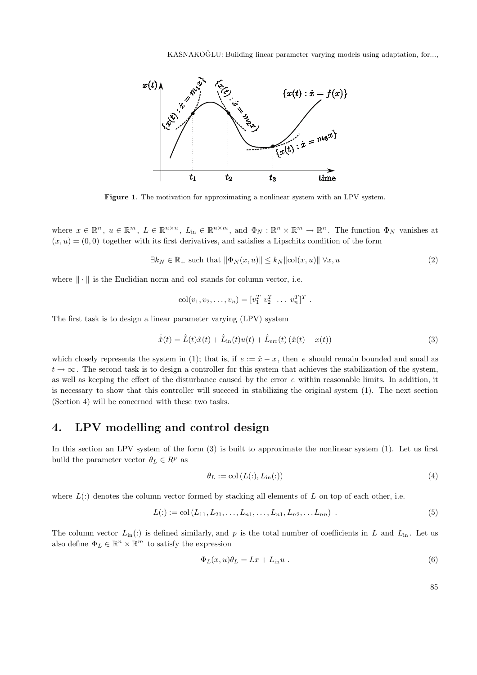KASNAKOĞLU: Building linear parameter varying models using adaptation, for...,



**Figure 1**. The motivation for approximating a nonlinear system with an LPV system.

where  $x \in \mathbb{R}^n$ ,  $u \in \mathbb{R}^m$ ,  $L \in \mathbb{R}^{n \times n}$ ,  $L_{\text{in}} \in \mathbb{R}^{n \times m}$ , and  $\Phi_N : \mathbb{R}^n \times \mathbb{R}^m \to \mathbb{R}^n$ . The function  $\Phi_N$  vanishes at  $(x, u) = (0, 0)$  together with its first derivatives, and satisfies a Lipschitz condition of the form

$$
\exists k_N \in \mathbb{R}_+ \text{ such that } \|\Phi_N(x, u)\| \le k_N \|\text{col}(x, u)\| \,\forall x, u \tag{2}
$$

where  $\|\cdot\|$  is the Euclidian norm and col stands for column vector, i.e.

$$
col(v_1, v_2, \ldots, v_n) = [v_1^T \ v_2^T \ \ldots \ v_n^T]^T.
$$

The first task is to design a linear parameter varying (LPV) system

$$
\dot{\hat{x}}(t) = \hat{L}(t)\hat{x}(t) + \hat{L}_{\text{in}}(t)u(t) + \hat{L}_{\text{err}}(t)(\hat{x}(t) - x(t))
$$
\n(3)

which closely represents the system in (1); that is, if  $e := \hat{x} - x$ , then *e* should remain bounded and small as  $t \to \infty$ . The second task is to design a controller for this system that achieves the stabilization of the system, as well as keeping the effect of the disturbance caused by the error *e* within reasonable limits. In addition, it is necessary to show that this controller will succeed in stabilizing the original system (1). The next section (Section 4) will be concerned with these two tasks.

### **4. LPV modelling and control design**

In this section an LPV system of the form (3) is built to approximate the nonlinear system (1). Let us first build the parameter vector  $\theta_L \in R^p$  as

$$
\theta_L := \text{col}\left(L(:,, L_{\text{in}}(:)\right) \tag{4}
$$

where  $L(.)$  denotes the column vector formed by stacking all elements of  $L$  on top of each other, i.e.

$$
L(:):= \text{col}(L_{11}, L_{21}, \ldots, L_{n1}, \ldots, L_{n1}, L_{n2}, \ldots, L_{nn}) \tag{5}
$$

The column vector  $L_{\text{in}}(.)$  is defined similarly, and p is the total number of coefficients in L and  $L_{\text{in}}$ . Let us also define  $\Phi_L \in \mathbb{R}^n \times \mathbb{R}^m$  to satisfy the expression

$$
\Phi_L(x, u)\theta_L = Lx + L_{\text{in}}u \tag{6}
$$

85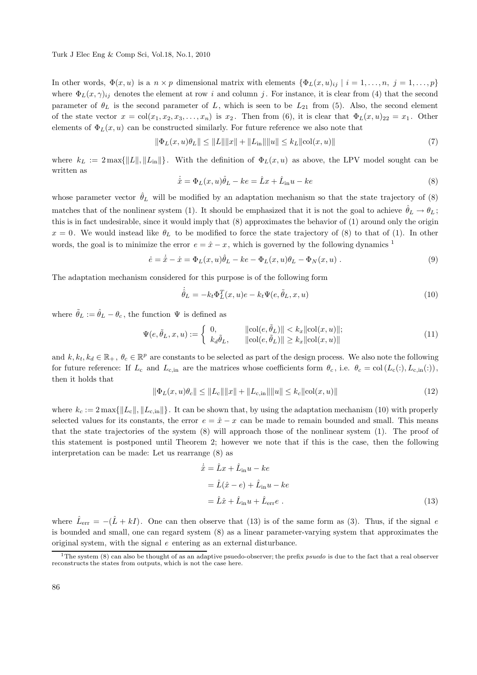In other words,  $\Phi(x, u)$  is a  $n \times p$  dimensional matrix with elements  $\{\Phi_L(x, u)_{ij} \mid i = 1, \ldots, n, j = 1, \ldots, p\}$ where  $\Phi_L(x, \gamma)_{ij}$  denotes the element at row *i* and column *j*. For instance, it is clear from (4) that the second parameter of  $\theta_L$  is the second parameter of L, which is seen to be  $L_{21}$  from (5). Also, the second element of the state vector  $x = col(x_1, x_2, x_3, \ldots, x_n)$  is  $x_2$ . Then from (6), it is clear that  $\Phi_L(x, u)_{22} = x_1$ . Other elements of  $\Phi_L(x, u)$  can be constructed similarly. For future reference we also note that

$$
\|\Phi_L(x, u)\theta_L\| \le \|L\| \|x\| + \|L_{\text{in}}\| \|u\| \le k_L \|\text{col}(x, u)\|
$$
\n(7)

where  $k_L := 2 \max{\{\Vert L \Vert, \Vert L_{in} \Vert\}}$ . With the definition of  $\Phi_L(x, u)$  as above, the LPV model sought can be written as

$$
\dot{\hat{x}} = \Phi_L(x, u)\hat{\theta}_L - ke = \hat{L}x + \hat{L}_{\text{in}}u - ke \tag{8}
$$

whose parameter vector  $\hat{\theta}_L$  will be modified by an adaptation mechanism so that the state trajectory of (8) matches that of the nonlinear system (1). It should be emphasized that it is not the goal to achieve  $\hat{\theta}_L \to \theta_L$ ; this is in fact undesirable, since it would imply that (8) approximates the behavior of (1) around only the origin  $x = 0$ . We would instead like  $\theta_L$  to be modified to force the state trajectory of (8) to that of (1). In other words, the goal is to minimize the error  $e = \hat{x} - x$ , which is governed by the following dynamics <sup>1</sup>

$$
\dot{e} = \dot{\hat{x}} - \dot{x} = \Phi_L(x, u)\hat{\theta}_L - ke - \Phi_L(x, u)\theta_L - \Phi_N(x, u) . \tag{9}
$$

The adaptation mechanism considered for this purpose is of the following form

$$
\dot{\hat{\theta}}_L = -k_t \Phi_L^T(x, u)e - k_t \Psi(e, \tilde{\theta}_L, x, u)
$$
\n(10)

where  $\tilde{\theta}_L := \hat{\theta}_L - \theta_c$ , the function  $\Psi$  is defined as

$$
\Psi(e, \tilde{\theta}_L, x, u) := \begin{cases} 0, & \|\text{col}(e, \tilde{\theta}_L)\| < k_x \|\text{col}(x, u)\|; \\ k_d \tilde{\theta}_L, & \|\text{col}(e, \tilde{\theta}_L)\| \ge k_x \|\text{col}(x, u)\| \end{cases} \tag{11}
$$

and  $k, k_t, k_d \in \mathbb{R}_+$ ,  $\theta_c \in \mathbb{R}^p$  are constants to be selected as part of the design process. We also note the following for future reference: If  $L_c$  and  $L_{c,in}$  are the matrices whose coefficients form  $\theta_c$ , i.e.  $\theta_c = \text{col}(L_c(:, L_{c,in}(:)),$ then it holds that

$$
\|\Phi_L(x, u)\theta_c\| \le \|L_c\|\|x\| + \|L_{c,\text{in}}\|\|u\| \le k_c \|\text{col}(x, u)\|
$$
\n(12)

where  $k_c := 2 \max\{||L_c||, ||L_{c,in}||\}$ . It can be shown that, by using the adaptation mechanism (10) with properly selected values for its constants, the error  $e = \hat{x} - x$  can be made to remain bounded and small. This means that the state trajectories of the system (8) will approach those of the nonlinear system (1). The proof of this statement is postponed until Theorem 2; however we note that if this is the case, then the following interpretation can be made: Let us rearrange (8) as

$$
\begin{aligned}\n\dot{\hat{x}} &= \hat{L}x + \hat{L}_{\text{in}}u - ke \\
&= \hat{L}(\hat{x} - e) + \hat{L}_{\text{in}}u - ke \\
&= \hat{L}\hat{x} + \hat{L}_{\text{in}}u + \hat{L}_{\text{err}}e\n\end{aligned} \tag{13}
$$

where  $\hat{L}_{err} = -(\hat{L} + kI)$ . One can then observe that (13) is of the same form as (3). Thus, if the signal *e* is bounded and small, one can regard system (8) as a linear parameter-varying system that approximates the original system, with the signal *e* entering as an external disturbance.

<sup>1</sup>The system (8) can also be thought of as an adaptive psuedo-observer; the prefix *psuedo* is due to the fact that a real observer reconstructs the states from outputs, which is not the case here.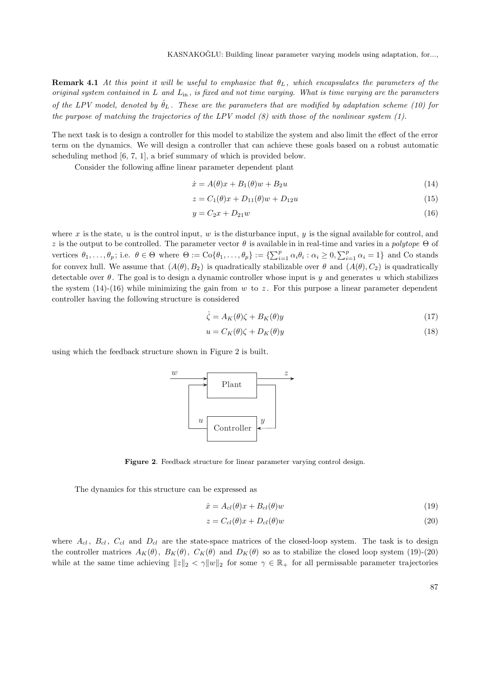**Remark 4.1** At this point it will be useful to emphasize that  $\theta_L$ , which encapsulates the parameters of the original system contained in *L* and *L*in , is fixed and not time varying. What is time varying are the parameters of the LPV model, denoted by  $\hat{\theta}_L$ . These are the parameters that are modified by adaptation scheme (10) for the purpose of matching the trajectories of the LPV model  $(8)$  with those of the nonlinear system  $(1)$ .

The next task is to design a controller for this model to stabilize the system and also limit the effect of the error term on the dynamics. We will design a controller that can achieve these goals based on a robust automatic scheduling method [6, 7, 1], a brief summary of which is provided below.

Consider the following affine linear parameter dependent plant

$$
\dot{x} = A(\theta)x + B_1(\theta)w + B_2u \tag{14}
$$

$$
z = C_1(\theta)x + D_{11}(\theta)w + D_{12}u \tag{15}
$$

$$
y = C_2 x + D_{21} w \tag{16}
$$

where  $x$  is the state,  $u$  is the control input,  $w$  is the disturbance input,  $y$  is the signal available for control, and *z* is the output to be controlled. The parameter vector  $\theta$  is available in in real-time and varies in a polytope  $\Theta$  of vertices  $\theta_1,\ldots,\theta_p$ ; i.e.  $\theta \in \Theta$  where  $\Theta := \text{Co}\{\theta_1,\ldots,\theta_p\} := \{\sum_{i=1}^p \alpha_i \theta_i : \alpha_i \geq 0, \sum_{i=1}^p \alpha_i = 1\}$  and Co stands for convex hull. We assume that  $(A(\theta), B_2)$  is quadratically stabilizable over  $\theta$  and  $(A(\theta), C_2)$  is quadratically detectable over *θ*. The goal is to design a dynamic controller whose input is *y* and generates *u* which stabilizes the system  $(14)-(16)$  while minimizing the gain from *w* to *z*. For this purpose a linear parameter dependent controller having the following structure is considered

$$
\dot{\zeta} = A_K(\theta)\zeta + B_K(\theta)y\tag{17}
$$

$$
u = C_K(\theta)\zeta + D_K(\theta)y\tag{18}
$$

using which the feedback structure shown in Figure 2 is built.



**Figure 2**. Feedback structure for linear parameter varying control design.

The dynamics for this structure can be expressed as

$$
\dot{x} = A_{cl}(\theta)x + B_{cl}(\theta)w\tag{19}
$$

$$
z = C_{cl}(\theta)x + D_{cl}(\theta)w
$$
\n(20)

where  $A_{cl}$ ,  $B_{cl}$ ,  $C_{cl}$  and  $D_{cl}$  are the state-space matrices of the closed-loop system. The task is to design the controller matrices  $A_K(\theta)$ ,  $B_K(\theta)$ ,  $C_K(\theta)$  and  $D_K(\theta)$  so as to stabilize the closed loop system (19)-(20) while at the same time achieving  $||z||_2 < \gamma ||w||_2$  for some  $\gamma \in \mathbb{R}_+$  for all permissable parameter trajectories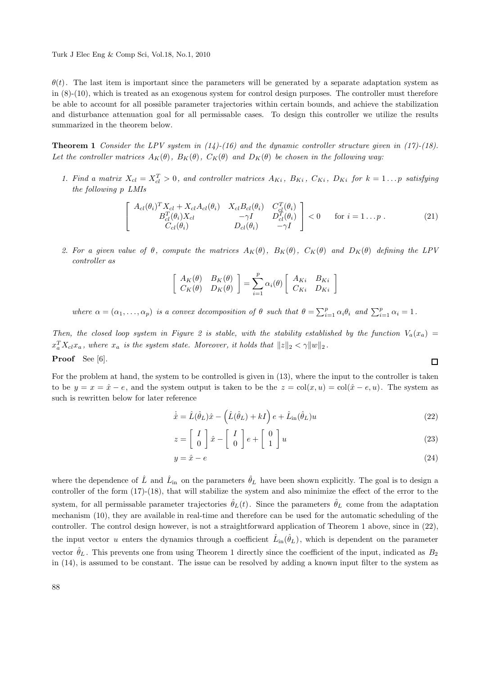$\theta(t)$ . The last item is important since the parameters will be generated by a separate adaptation system as in (8)-(10), which is treated as an exogenous system for control design purposes. The controller must therefore be able to account for all possible parameter trajectories within certain bounds, and achieve the stabilization and disturbance attenuation goal for all permissable cases. To design this controller we utilize the results summarized in the theorem below.

**Theorem 1** Consider the LPV system in  $(14)-(16)$  and the dynamic controller structure given in  $(17)-(18)$ . Let the controller matrices  $A_K(\theta)$ ,  $B_K(\theta)$ ,  $C_K(\theta)$  and  $D_K(\theta)$  be chosen in the following way:

1. Find a matrix  $X_{cl} = X_{cl}^T > 0$ , and controller matrices  $A_{Ki}$ ,  $B_{Ki}$ ,  $C_{Ki}$ ,  $D_{Ki}$  for  $k = 1...p$  satisfying the following *p* LMIs

$$
\begin{bmatrix}\nA_{cl}(\theta_i)^T X_{cl} + X_{cl} A_{cl}(\theta_i) & X_{cl} B_{cl}(\theta_i) & C_{cl}^T(\theta_i) \\
B_{cl}^T(\theta_i) X_{cl} & -\gamma I & D_{cl}^T(\theta_i) \\
C_{cl}(\theta_i) & D_{cl}(\theta_i) & -\gamma I\n\end{bmatrix} < 0 \quad \text{for } i = 1...p .
$$
\n(21)

2. For a given value of  $\theta$ , compute the matrices  $A_K(\theta)$ ,  $B_K(\theta)$ ,  $C_K(\theta)$  and  $D_K(\theta)$  defining the LPV controller as

$$
\begin{bmatrix}\nA_K(\theta) & B_K(\theta) \\
C_K(\theta) & D_K(\theta)\n\end{bmatrix} = \sum_{i=1}^p \alpha_i(\theta) \begin{bmatrix}\nA_{Ki} & B_{Ki} \\
C_{Ki} & D_{Ki}\n\end{bmatrix}
$$

where  $\alpha = (\alpha_1, \ldots, \alpha_p)$  is a convex decomposition of  $\theta$  such that  $\theta = \sum_{i=1}^p \alpha_i \theta_i$  and  $\sum_{i=1}^p \alpha_i = 1$ .

Then, the closed loop system in Figure 2 is stable, with the stability established by the function  $V_a(x_a)$  $x_a^T X_{cl} x_a$ , where  $x_a$  is the system state. Moreover, it holds that  $||z||_2 < \gamma ||w||_2$ . **Proof** See [6].

For the problem at hand, the system to be controlled is given in (13), where the input to the controller is taken to be  $y = x = \hat{x} - e$ , and the system output is taken to be the  $z = col(x, u) = col(\hat{x} - e, u)$ . The system as such is rewritten below for later reference

$$
\dot{\hat{x}} = \hat{L}(\hat{\theta}_L)\hat{x} - (\hat{L}(\hat{\theta}_L) + kI) e + \hat{L}_{in}(\hat{\theta}_L)u
$$
\n(22)

$$
z = \left[\begin{array}{c} I \\ 0 \end{array}\right] \hat{x} - \left[\begin{array}{c} I \\ 0 \end{array}\right] e + \left[\begin{array}{c} 0 \\ 1 \end{array}\right] u \tag{23}
$$

$$
y = \hat{x} - e \tag{24}
$$

where the dependence of  $\hat{L}$  and  $\hat{L}_{in}$  on the parameters  $\hat{\theta}_L$  have been shown explicitly. The goal is to design a controller of the form (17)-(18), that will stabilize the system and also minimize the effect of the error to the system, for all permissable parameter trajectories  $\hat{\theta}_L(t)$ . Since the parameters  $\hat{\theta}_L$  come from the adaptation mechanism (10), they are available in real-time and therefore can be used for the automatic scheduling of the controller. The control design however, is not a straightforward application of Theorem 1 above, since in (22), the input vector *u* enters the dynamics through a coefficient  $\hat{L}_{in}(\hat{\theta}_L)$ , which is dependent on the parameter vector  $\hat{\theta}_L$ . This prevents one from using Theorem 1 directly since the coefficient of the input, indicated as  $B_2$ in (14), is assumed to be constant. The issue can be resolved by adding a known input filter to the system as

 $\Box$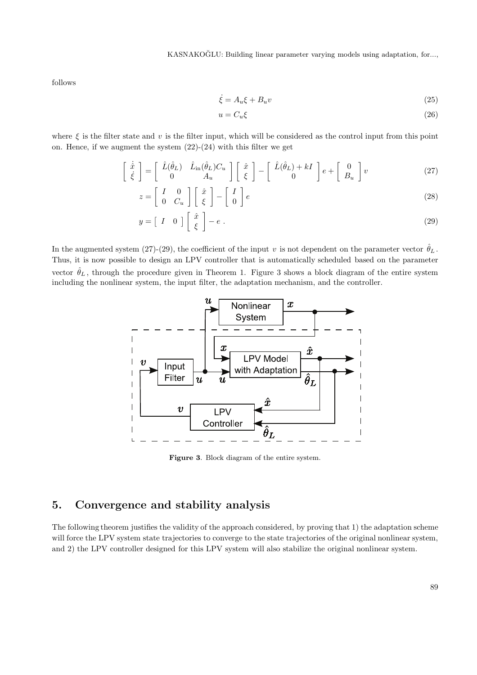KASNAKOĞLU: Building linear parameter varying models using adaptation, for...,

follows

$$
\dot{\xi} = A_u \xi + B_u v \tag{25}
$$

$$
u = C_u \xi \tag{26}
$$

where  $\xi$  is the filter state and  $v$  is the filter input, which will be considered as the control input from this point on. Hence, if we augment the system  $(22)-(24)$  with this filter we get

$$
\begin{bmatrix} \dot{\hat{x}} \\ \dot{\xi} \end{bmatrix} = \begin{bmatrix} \hat{L}(\hat{\theta}_L) & \hat{L}_{\text{in}}(\hat{\theta}_L)C_u \\ 0 & A_u \end{bmatrix} \begin{bmatrix} \hat{x} \\ \xi \end{bmatrix} - \begin{bmatrix} \hat{L}(\hat{\theta}_L) + kI \\ 0 \end{bmatrix} e + \begin{bmatrix} 0 \\ B_u \end{bmatrix} v
$$
 (27)

$$
z = \left[ \begin{array}{cc} I & 0 \\ 0 & C_u \end{array} \right] \left[ \begin{array}{c} \hat{x} \\ \xi \end{array} \right] - \left[ \begin{array}{c} I \\ 0 \end{array} \right] e \tag{28}
$$

$$
y = \begin{bmatrix} I & 0 \end{bmatrix} \begin{bmatrix} \hat{x} \\ \xi \end{bmatrix} - e \tag{29}
$$

In the augmented system (27)-(29), the coefficient of the input *v* is not dependent on the parameter vector  $\hat{\theta}_L$ . Thus, it is now possible to design an LPV controller that is automatically scheduled based on the parameter vector  $\hat{\theta}_L$ , through the procedure given in Theorem 1. Figure 3 shows a block diagram of the entire system including the nonlinear system, the input filter, the adaptation mechanism, and the controller.



**Figure 3**. Block diagram of the entire system.

### **5. Convergence and stability analysis**

The following theorem justifies the validity of the approach considered, by proving that 1) the adaptation scheme will force the LPV system state trajectories to converge to the state trajectories of the original nonlinear system, and 2) the LPV controller designed for this LPV system will also stabilize the original nonlinear system.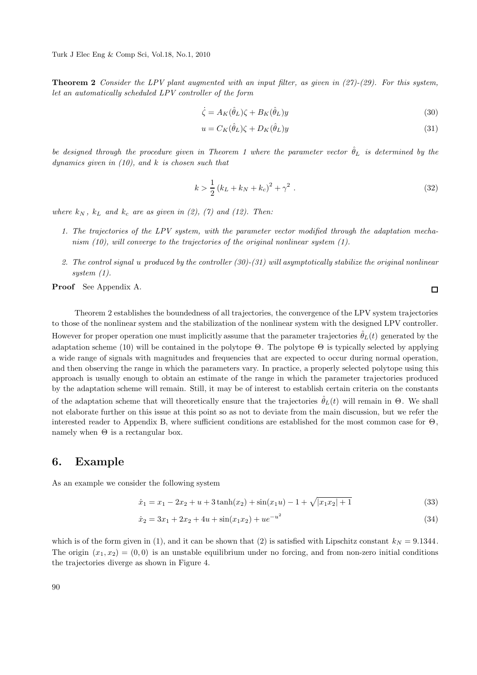**Theorem 2** Consider the LPV plant augmented with an input filter, as given in (27)-(29). For this system, let an automatically scheduled LPV controller of the form

$$
\dot{\zeta} = A_K(\hat{\theta}_L)\zeta + B_K(\hat{\theta}_L)y\tag{30}
$$

$$
u = C_K(\hat{\theta}_L)\zeta + D_K(\hat{\theta}_L)y
$$
\n(31)

be designed through the procedure given in Theorem 1 where the parameter vector  $\hat{\theta}_L$  is determined by the dynamics given in (10), and *k* is chosen such that

$$
k > \frac{1}{2} (k_L + k_N + k_c)^2 + \gamma^2 \ . \tag{32}
$$

where  $k_N$ ,  $k_L$  and  $k_c$  are as given in (2), (7) and (12). Then:

- 1. The trajectories of the LPV system, with the parameter vector modified through the adaptation mechanism (10), will converge to the trajectories of the original nonlinear system (1).
- 2. The control signal *u* produced by the controller (30)-(31) will asymptotically stabilize the original nonlinear system (1).

**Proof** See Appendix A.

Theorem 2 establishes the boundedness of all trajectories, the convergence of the LPV system trajectories to those of the nonlinear system and the stabilization of the nonlinear system with the designed LPV controller. However for proper operation one must implicitly assume that the parameter trajectories  $\hat{\theta}_L(t)$  generated by the adaptation scheme (10) will be contained in the polytope  $\Theta$ . The polytope  $\Theta$  is typically selected by applying a wide range of signals with magnitudes and frequencies that are expected to occur during normal operation, and then observing the range in which the parameters vary. In practice, a properly selected polytope using this approach is usually enough to obtain an estimate of the range in which the parameter trajectories produced by the adaptation scheme will remain. Still, it may be of interest to establish certain criteria on the constants of the adaptation scheme that will theoretically ensure that the trajectories  $\hat{\theta}_L(t)$  will remain in  $\Theta$ . We shall not elaborate further on this issue at this point so as not to deviate from the main discussion, but we refer the interested reader to Appendix B, where sufficient conditions are established for the most common case for  $\Theta$ , namely when  $\Theta$  is a rectangular box.

#### **6. Example**

As an example we consider the following system

$$
\dot{x}_1 = x_1 - 2x_2 + u + 3\tanh(x_2) + \sin(x_1u) - 1 + \sqrt{|x_1x_2| + 1} \tag{33}
$$

$$
\dot{x}_2 = 3x_1 + 2x_2 + 4u + \sin(x_1 x_2) + ue^{-u^2}
$$
\n(34)

which is of the form given in (1), and it can be shown that (2) is satisfied with Lipschitz constant  $k_N = 9.1344$ . The origin  $(x_1, x_2) = (0, 0)$  is an unstable equilibrium under no forcing, and from non-zero initial conditions the trajectories diverge as shown in Figure 4.

 $\Box$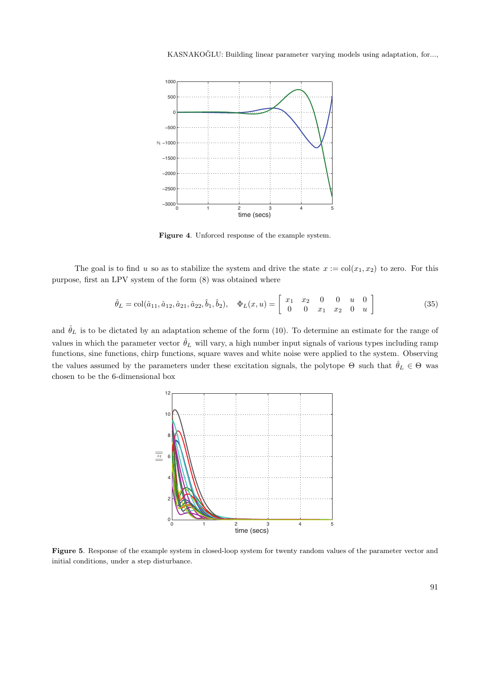

**Figure 4**. Unforced response of the example system.

The goal is to find *u* so as to stabilize the system and drive the state  $x := col(x_1, x_2)$  to zero. For this purpose, first an LPV system of the form (8) was obtained where

$$
\hat{\theta}_L = \text{col}(\hat{a}_{11}, \hat{a}_{12}, \hat{a}_{21}, \hat{a}_{22}, \hat{b}_1, \hat{b}_2), \quad \Phi_L(x, u) = \begin{bmatrix} x_1 & x_2 & 0 & 0 & u & 0 \\ 0 & 0 & x_1 & x_2 & 0 & u \end{bmatrix}
$$
(35)

and  $\hat{\theta}_L$  is to be dictated by an adaptation scheme of the form (10). To determine an estimate for the range of values in which the parameter vector  $\hat{\theta}_L$  will vary, a high number input signals of various types including ramp functions, sine functions, chirp functions, square waves and white noise were applied to the system. Observing the values assumed by the parameters under these excitation signals, the polytope  $\Theta$  such that  $\hat{\theta}_L \in \Theta$  was chosen to be the 6-dimensional box



**Figure 5**. Response of the example system in closed-loop system for twenty random values of the parameter vector and initial conditions, under a step disturbance.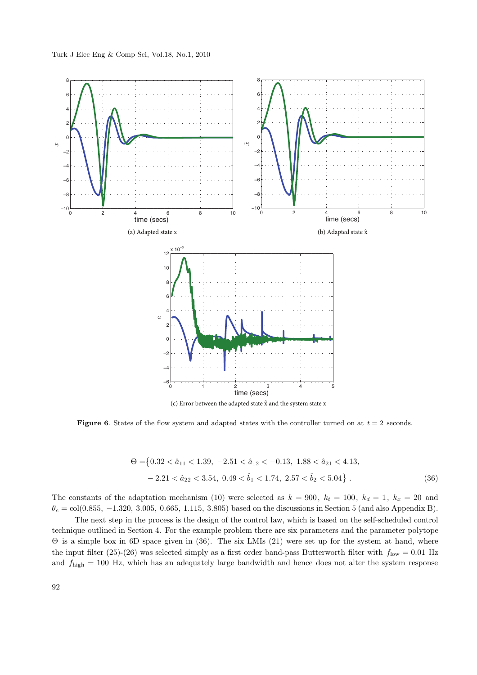

(c) Error between the adapted state  $\hat{x}$  and the system state x

**Figure 6**. States of the flow system and adapted states with the controller turned on at  $t = 2$  seconds.

$$
\Theta = \{0.32 < \hat{a}_{11} < 1.39, \ -2.51 < \hat{a}_{12} < -0.13, \ 1.88 < \hat{a}_{21} < 4.13, \\ -2.21 < \hat{a}_{22} < 3.54, \ 0.49 < \hat{b}_1 < 1.74, \ 2.57 < \hat{b}_2 < 5.04 \} \ . \tag{36}
$$

The constants of the adaptation mechanism (10) were selected as  $k = 900$ ,  $k_t = 100$ ,  $k_d = 1$ ,  $k_x = 20$  and  $\theta_c = \text{col}(0.855, -1.320, 3.005, 0.665, 1.115, 3.805)$  based on the discussions in Section 5 (and also Appendix B).

The next step in the process is the design of the control law, which is based on the self-scheduled control technique outlined in Section 4. For the example problem there are six parameters and the parameter polytope Θ is a simple box in 6D space given in (36). The six LMIs (21) were set up for the system at hand, where the input filter (25)-(26) was selected simply as a first order band-pass Butterworth filter with  $f_{\text{low}} = 0.01$  Hz and *f*high = 100 Hz, which has an adequately large bandwidth and hence does not alter the system response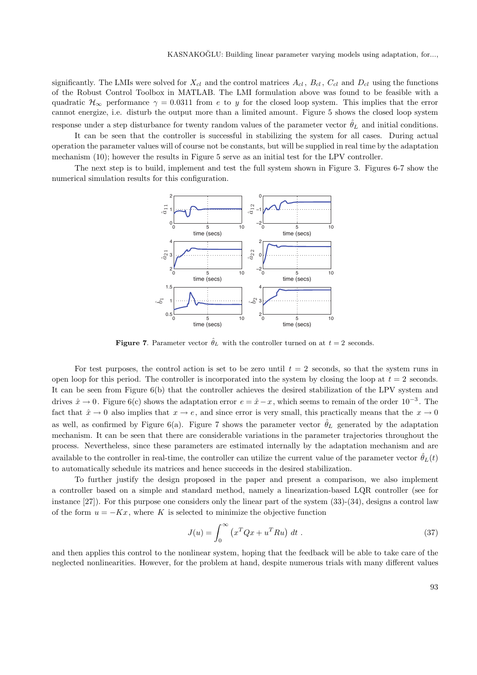significantly. The LMIs were solved for  $X_{cl}$  and the control matrices  $A_{cl}$ ,  $B_{cl}$ ,  $C_{cl}$  and  $D_{cl}$  using the functions of the Robust Control Toolbox in MATLAB. The LMI formulation above was found to be feasible with a quadratic  $\mathcal{H}_{\infty}$  performance  $\gamma = 0.0311$  from *e* to *y* for the closed loop system. This implies that the error cannot energize, i.e. disturb the output more than a limited amount. Figure 5 shows the closed loop system response under a step disturbance for twenty random values of the parameter vector  $\hat{\theta}_L$  and initial conditions.

It can be seen that the controller is successful in stabilizing the system for all cases. During actual operation the parameter values will of course not be constants, but will be supplied in real time by the adaptation mechanism (10); however the results in Figure 5 serve as an initial test for the LPV controller.

The next step is to build, implement and test the full system shown in Figure 3. Figures 6-7 show the numerical simulation results for this configuration.



**Figure 7**. Parameter vector  $\hat{\theta}_L$  with the controller turned on at  $t = 2$  seconds.

For test purposes, the control action is set to be zero until  $t = 2$  seconds, so that the system runs in open loop for this period. The controller is incorporated into the system by closing the loop at  $t = 2$  seconds. It can be seen from Figure 6(b) that the controller achieves the desired stabilization of the LPV system and drives  $\hat{x} \to 0$ . Figure 6(c) shows the adaptation error  $e = \hat{x} - x$ , which seems to remain of the order 10<sup>-3</sup>. The fact that  $\hat{x} \to 0$  also implies that  $x \to e$ , and since error is very small, this practically means that the  $x \to 0$ as well, as confirmed by Figure 6(a). Figure 7 shows the parameter vector  $\hat{\theta}_L$  generated by the adaptation mechanism. It can be seen that there are considerable variations in the parameter trajectories throughout the process. Nevertheless, since these parameters are estimated internally by the adaptation mechanism and are available to the controller in real-time, the controller can utilize the current value of the parameter vector  $\hat{\theta}_L(t)$ to automatically schedule its matrices and hence succeeds in the desired stabilization.

To further justify the design proposed in the paper and present a comparison, we also implement a controller based on a simple and standard method, namely a linearization-based LQR controller (see for instance  $[27]$ ). For this purpose one considers only the linear part of the system  $(33)-(34)$ , designs a control law of the form  $u = -Kx$ , where K is selected to minimize the objective function

$$
J(u) = \int_0^\infty \left( x^T Q x + u^T R u \right) dt \tag{37}
$$

and then applies this control to the nonlinear system, hoping that the feedback will be able to take care of the neglected nonlinearities. However, for the problem at hand, despite numerous trials with many different values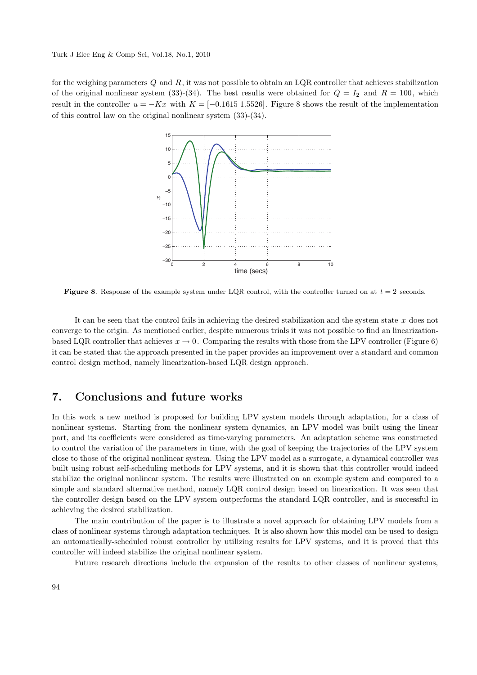for the weighing parameters *Q* and *R*, it was not possible to obtain an LQR controller that achieves stabilization of the original nonlinear system (33)-(34). The best results were obtained for  $Q = I_2$  and  $R = 100$ , which result in the controller  $u = -Kx$  with  $K = [-0.1615 \, 1.5526]$ . Figure 8 shows the result of the implementation of this control law on the original nonlinear system (33)-(34).



**Figure 8**. Response of the example system under LQR control, with the controller turned on at *t* = 2 seconds.

It can be seen that the control fails in achieving the desired stabilization and the system state *x* does not converge to the origin. As mentioned earlier, despite numerous trials it was not possible to find an linearizationbased LQR controller that achieves  $x \to 0$ . Comparing the results with those from the LPV controller (Figure 6) it can be stated that the approach presented in the paper provides an improvement over a standard and common control design method, namely linearization-based LQR design approach.

#### **7. Conclusions and future works**

In this work a new method is proposed for building LPV system models through adaptation, for a class of nonlinear systems. Starting from the nonlinear system dynamics, an LPV model was built using the linear part, and its coefficients were considered as time-varying parameters. An adaptation scheme was constructed to control the variation of the parameters in time, with the goal of keeping the trajectories of the LPV system close to those of the original nonlinear system. Using the LPV model as a surrogate, a dynamical controller was built using robust self-scheduling methods for LPV systems, and it is shown that this controller would indeed stabilize the original nonlinear system. The results were illustrated on an example system and compared to a simple and standard alternative method, namely LQR control design based on linearization. It was seen that the controller design based on the LPV system outperforms the standard LQR controller, and is successful in achieving the desired stabilization.

The main contribution of the paper is to illustrate a novel approach for obtaining LPV models from a class of nonlinear systems through adaptation techniques. It is also shown how this model can be used to design an automatically-scheduled robust controller by utilizing results for LPV systems, and it is proved that this controller will indeed stabilize the original nonlinear system.

Future research directions include the expansion of the results to other classes of nonlinear systems,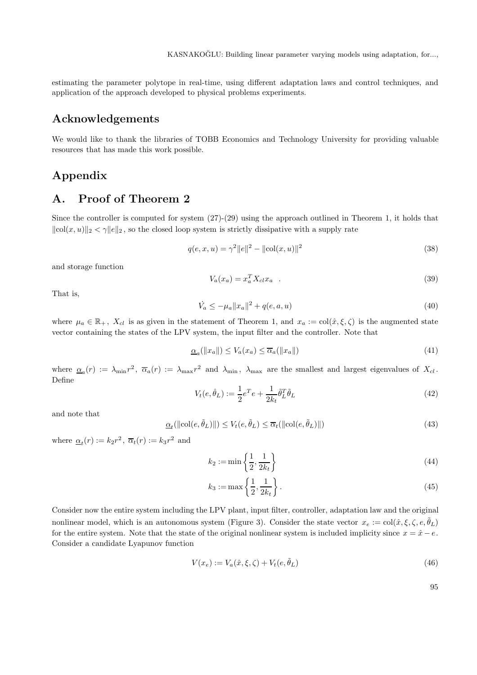estimating the parameter polytope in real-time, using different adaptation laws and control techniques, and application of the approach developed to physical problems experiments.

### **Acknowledgements**

We would like to thank the libraries of TOBB Economics and Technology University for providing valuable resources that has made this work possible.

### **Appendix**

### **A. Proof of Theorem 2**

Since the controller is computed for system  $(27)-(29)$  using the approach outlined in Theorem 1, it holds that  $\|\text{col}(x, u)\|_2 < \gamma \|e\|_2$ , so the closed loop system is strictly dissipative with a supply rate

$$
q(e, x, u) = \gamma^2 ||e||^2 - ||\text{col}(x, u)||^2
$$
\n(38)

and storage function

$$
V_a(x_a) = x_a^T X_{cl} x_a \quad . \tag{39}
$$

That is,

$$
\dot{V}_a \le -\mu_a \|x_a\|^2 + q(e, a, u) \tag{40}
$$

where  $\mu_a \in \mathbb{R}_+$ ,  $X_{cl}$  is as given in the statement of Theorem 1, and  $x_a := col(\hat{x}, \xi, \zeta)$  is the augmented state vector containing the states of the LPV system, the input filter and the controller. Note that

$$
\underline{\alpha}_a(||x_a||) \le V_a(x_a) \le \overline{\alpha}_a(||x_a||) \tag{41}
$$

where  $\underline{\alpha}_a(r) := \lambda_{\min} r^2$ ,  $\overline{\alpha}_a(r) := \lambda_{\max} r^2$  and  $\lambda_{\min}$ ,  $\lambda_{\max}$  are the smallest and largest eigenvalues of  $X_{cl}$ . Define

$$
V_t(e, \hat{\theta}_L) := \frac{1}{2} e^T e + \frac{1}{2k_t} \tilde{\theta}_L^T \tilde{\theta}_L \tag{42}
$$

and note that

$$
\underline{\alpha}_{t}(\|\text{col}(e,\tilde{\theta}_{L})\|) \le V_{t}(e,\tilde{\theta}_{L}) \le \overline{\alpha}_{t}(\|\text{col}(e,\tilde{\theta}_{L})\|)
$$
\n(43)

where  $\alpha_t(r) := k_2 r^2$ ,  $\overline{\alpha}_t(r) := k_3 r^2$  and

$$
k_2 := \min\left\{\frac{1}{2}, \frac{1}{2k_t}\right\} \tag{44}
$$

$$
k_3 := \max\left\{\frac{1}{2}, \frac{1}{2k_t}\right\}.
$$
\n
$$
(45)
$$

Consider now the entire system including the LPV plant, input filter, controller, adaptation law and the original nonlinear model, which is an autonomous system (Figure 3). Consider the state vector  $x_e := col(\hat{x}, \xi, \zeta, e, \tilde{\theta}_L)$ for the entire system. Note that the state of the original nonlinear system is included implicity since  $x = \hat{x} - e$ . Consider a candidate Lyapunov function

$$
V(x_e) := V_a(\hat{x}, \xi, \zeta) + V_t(e, \tilde{\theta}_L)
$$
\n<sup>(46)</sup>

95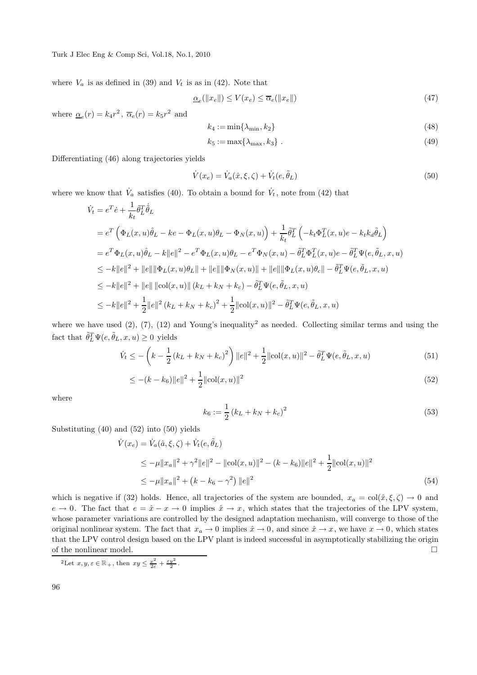where  $V_a$  is as defined in (39) and  $V_t$  is as in (42). Note that

$$
\underline{\alpha}_e(||x_e||) \le V(x_e) \le \overline{\alpha}_e(||x_e||) \tag{47}
$$

where  $\alpha_e(r) = k_4 r^2$ ,  $\overline{\alpha}_e(r) = k_5 r^2$  and

$$
k_4 := \min\{\lambda_{\min}, k_2\} \tag{48}
$$

$$
k_5 := \max\{\lambda_{\max}, k_3\} \tag{49}
$$

Differentiating (46) along trajectories yields

$$
\dot{V}(x_e) = \dot{V}_a(\hat{x}, \xi, \zeta) + \dot{V}_t(e, \tilde{\theta}_L)
$$
\n(50)

where we know that  $\dot{V}_a$  satisfies (40). To obtain a bound for  $\dot{V}_t$ , note from (42) that

$$
\dot{V}_t = e^T \dot{e} + \frac{1}{k_t} \tilde{\theta}_L^T \dot{\tilde{\theta}}_L
$$
\n
$$
= e^T \left( \Phi_L(x, u)\hat{\theta}_L - ke - \Phi_L(x, u)\theta_L - \Phi_N(x, u) \right) + \frac{1}{k_t} \tilde{\theta}_L^T \left( -k_t \Phi_L^T(x, u)e - k_t k_d \tilde{\theta}_L \right)
$$
\n
$$
= e^T \Phi_L(x, u)\hat{\theta}_L - k||e||^2 - e^T \Phi_L(x, u)\theta_L - e^T \Phi_N(x, u) - \tilde{\theta}_L^T \Phi_L^T(x, u)e - \tilde{\theta}_L^T \Psi(e, \tilde{\theta}_L, x, u)
$$
\n
$$
\leq -k||e||^2 + ||e|| ||\Phi_L(x, u)\theta_L|| + ||e|| ||\Phi_N(x, u) || + ||e|| ||\Phi_L(x, u)\theta_c|| - \tilde{\theta}_L^T \Psi(e, \tilde{\theta}_L, x, u)
$$
\n
$$
\leq -k||e||^2 + ||e|| ||\text{col}(x, u)|| (k_L + k_N + k_c) - \tilde{\theta}_L^T \Psi(e, \tilde{\theta}_L, x, u)
$$
\n
$$
\leq -k||e||^2 + \frac{1}{2}||e||^2 (k_L + k_N + k_c)^2 + \frac{1}{2}||\text{col}(x, u)||^2 - \tilde{\theta}_L^T \Psi(e, \tilde{\theta}_L, x, u)
$$

where we have used  $(2)$ ,  $(7)$ ,  $(12)$  and Young's inequality<sup>2</sup> as needed. Collecting similar terms and using the fact that  $\tilde{\theta}_L^T \Psi(e, \tilde{\theta}_L, x, u) \geq 0$  yields

$$
\dot{V}_t \le -\left(k - \frac{1}{2}\left(k_L + k_N + k_c\right)^2\right) ||e||^2 + \frac{1}{2} ||\text{col}(x, u)||^2 - \tilde{\theta}_L^T \Psi(e, \tilde{\theta}_L, x, u)
$$
\n(51)

$$
\leq -(k - k_6) \|e\|^2 + \frac{1}{2} \|\text{col}(x, u)\|^2 \tag{52}
$$

where

$$
k_6 := \frac{1}{2} \left( k_L + k_N + k_c \right)^2 \tag{53}
$$

Substituting (40) and (52) into (50) yields

$$
\dot{V}(x_e) = \dot{V}_a(\hat{a}, \xi, \zeta) + \dot{V}_t(e, \tilde{\theta}_L)
$$
\n
$$
\leq -\mu \|x_a\|^2 + \gamma^2 \|e\|^2 - \|\text{col}(x, u)\|^2 - (k - k_6)\|e\|^2 + \frac{1}{2} \|\text{col}(x, u)\|^2
$$
\n
$$
\leq -\mu \|x_a\|^2 + (k - k_6 - \gamma^2) \|e\|^2
$$
\n(54)

which is negative if (32) holds. Hence, all trajectories of the system are bounded,  $x_a = col(\hat{x}, \xi, \zeta) \to 0$  and  $e \to 0$ . The fact that  $e = \hat{x} - x \to 0$  implies  $\hat{x} \to x$ , which states that the trajectories of the LPV system, whose parameter variations are controlled by the designed adaptation mechanism, will converge to those of the original nonlinear system. The fact that  $x_a \to 0$  implies  $\hat{x} \to 0$ , and since  $\hat{x} \to x$ , we have  $x \to 0$ , which states that the LPV control design based on the LPV plant is indeed successful in asymptotically stabilizing the origin of the nonlinear model.  $\Box$ 

 $^{2}$ Let  $x, y, \varepsilon \in \mathbb{R}_{+}$ , then  $xy \leq \frac{x^{2}}{2\varepsilon} + \frac{\varepsilon y^{2}}{2}$ .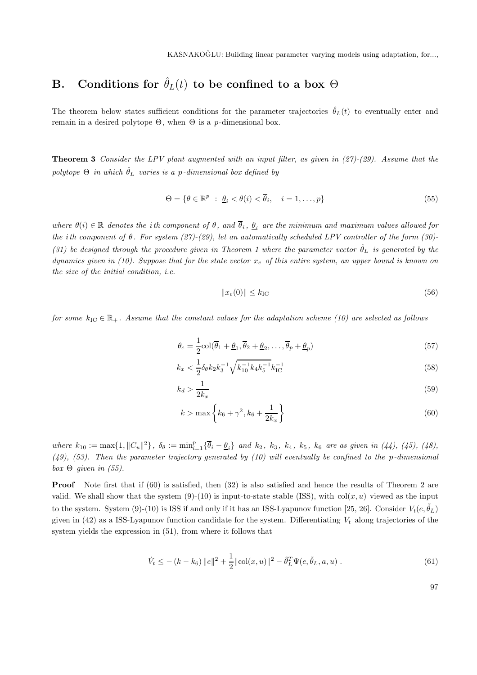## **B.** Conditions for  $\hat{\theta}_L(t)$  to be confined to a box  $\Theta$

The theorem below states sufficient conditions for the parameter trajectories  $\hat{\theta}_L(t)$  to eventually enter and remain in a desired polytope Θ, when Θ is a *p*-dimensional box.

**Theorem 3** Consider the LPV plant augmented with an input filter, as given in  $(27)-(29)$ . Assume that the polytope  $\Theta$  in which  $\hat{\theta}_L$  varies is a *p*-dimensional box defined by

$$
\Theta = \{ \theta \in \mathbb{R}^p : \underline{\theta}_i < \theta(i) < \overline{\theta}_i, \quad i = 1, \dots, p \} \tag{55}
$$

where  $\theta(i) \in \mathbb{R}$  denotes the *i*th component of  $\theta$ , and  $\overline{\theta}_i$ ,  $\theta_i$  are the minimum and maximum values allowed for the *i*th component of *θ*. For system (27)-(29), let an automatically scheduled LPV controller of the form (30)- (31) be designed through the procedure given in Theorem 1 where the parameter vector  $\hat{\theta}_L$  is generated by the dynamics given in (10). Suppose that for the state vector *x<sup>e</sup>* of this entire system, an upper bound is known on the size of the initial condition, i.e.

$$
||x_e(0)|| \le k_{\rm IC} \tag{56}
$$

for some  $k_{\text{IC}} \in \mathbb{R}_+$ . Assume that the constant values for the adaptation scheme (10) are selected as follows

$$
\theta_c = \frac{1}{2} \operatorname{col}(\overline{\theta}_1 + \underline{\theta}_1, \overline{\theta}_2 + \underline{\theta}_2, \dots, \overline{\theta}_p + \underline{\theta}_p)
$$
\n(57)

$$
k_x < \frac{1}{2} \delta_\theta k_2 k_3^{-1} \sqrt{k_{10}^{-1} k_4 k_5^{-1}} k_{\rm IC}^{-1} \tag{58}
$$

$$
k_d > \frac{1}{2k_x} \tag{59}
$$

$$
k > \max\left\{k_6 + \gamma^2, k_6 + \frac{1}{2k_x}\right\}
$$
\n(60)

where  $k_{10} := \max\{1, ||C_u||^2\}, \ \delta_\theta := \min_{i=1}^p \{\overline{\theta}_i - \underline{\theta}_i\} \$ and  $k_2, k_3, k_4, k_5, k_6$  are as given in (44), (45), (48), (49), (53). Then the parameter trajectory generated by (10) will eventually be confined to the *p*-dimensional box  $\Theta$  given in (55).

**Proof** Note first that if (60) is satisfied, then (32) is also satisfied and hence the results of Theorem 2 are valid. We shall show that the system  $(9)-(10)$  is input-to-state stable (ISS), with  $col(x, u)$  viewed as the input to the system. System (9)-(10) is ISS if and only if it has an ISS-Lyapunov function [25, 26]. Consider  $V_t(e, \tilde{\theta}_L)$ given in (42) as a ISS-Lyapunov function candidate for the system. Differentiating *V<sup>t</sup>* along trajectories of the system yields the expression in (51), from where it follows that

$$
\dot{V}_t \leq -(k - k_6) ||e||^2 + \frac{1}{2} ||\text{col}(x, u)||^2 - \tilde{\theta}_L^T \Psi(e, \tilde{\theta}_L, a, u) .
$$
\n(61)

97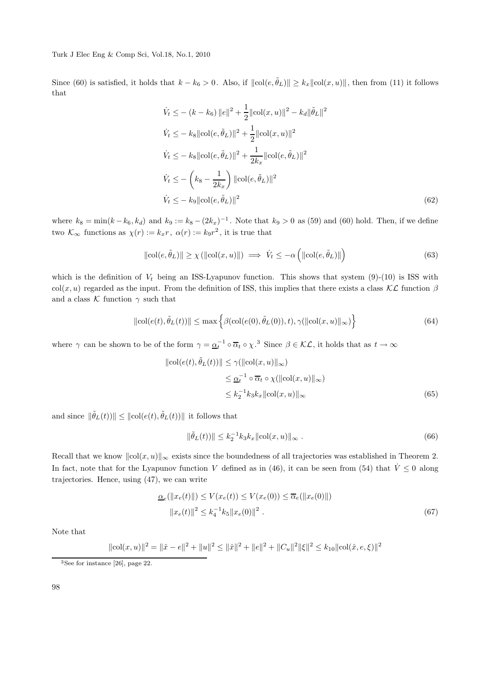Since (60) is satisfied, it holds that  $k - k_6 > 0$ . Also, if  $\|\text{col}(e, \tilde{\theta}_L)\| \ge k_x \|\text{col}(x, u)\|$ , then from (11) it follows that

$$
\dot{V}_t \leq - (k - k_6) ||e||^2 + \frac{1}{2} ||\text{col}(x, u)||^2 - k_d ||\tilde{\theta}_L||^2
$$
\n
$$
\dot{V}_t \leq - k_8 ||\text{col}(e, \tilde{\theta}_L)||^2 + \frac{1}{2} ||\text{col}(x, u)||^2
$$
\n
$$
\dot{V}_t \leq - k_8 ||\text{col}(e, \tilde{\theta}_L)||^2 + \frac{1}{2k_x} ||\text{col}(e, \tilde{\theta}_L)||^2
$$
\n
$$
\dot{V}_t \leq - \left(k_8 - \frac{1}{2k_x}\right) ||\text{col}(e, \tilde{\theta}_L)||^2
$$
\n
$$
\dot{V}_t \leq - k_9 ||\text{col}(e, \tilde{\theta}_L)||^2
$$
\n
$$
(62)
$$

where  $k_8 = \min(k - k_6, k_d)$  and  $k_9 := k_8 - (2k_x)^{-1}$ . Note that  $k_9 > 0$  as (59) and (60) hold. Then, if we define two  $\mathcal{K}_{\infty}$  functions as  $\chi(r) := k_x r$ ,  $\alpha(r) := k_9 r^2$ , it is true that

$$
\|\text{col}(e,\tilde{\theta}_L)\| \ge \chi\left(\|\text{col}(x,u)\|\right) \implies \dot{V}_t \le -\alpha\left(\|\text{col}(e,\tilde{\theta}_L)\|\right) \tag{63}
$$

which is the definition of  $V_t$  being an ISS-Lyapunov function. This shows that system  $(9)-(10)$  is ISS with col(*x, u*) regarded as the input. From the definition of ISS, this implies that there exists a class  $\mathcal{KL}$  function  $\beta$ and a class  $K$  function  $\gamma$  such that

$$
\|\text{col}(e(t), \tilde{\theta}_L(t))\| \le \max\left\{\beta(\text{col}(e(0), \tilde{\theta}_L(0)), t), \gamma(\|\text{col}(x, u)\|_{\infty})\right\}
$$
(64)

where  $\gamma$  can be shown to be of the form  $\gamma = \underline{\alpha_t^{-1}} \circ \overline{\alpha_t} \circ \chi$ .<sup>3</sup> Since  $\beta \in \mathcal{KL}$ , it holds that as  $t \to \infty$ 

$$
\|\text{col}(e(t), \tilde{\theta}_L(t))\| \le \gamma(\|\text{col}(x, u)\|_{\infty})
$$
  

$$
\le \underline{\alpha}_t^{-1} \circ \overline{\alpha}_t \circ \chi(\|\text{col}(x, u)\|_{\infty})
$$
  

$$
\le k_2^{-1} k_3 k_x \|\text{col}(x, u)\|_{\infty}
$$
 (65)

and since  $\|\tilde{\theta}_L(t)\| \leq \|\text{col}(e(t), \tilde{\theta}_L(t))\|$  it follows that

$$
\|\tilde{\theta}_L(t))\| \le k_2^{-1} k_3 k_x \|\text{col}(x, u)\|_{\infty} \,. \tag{66}
$$

Recall that we know  $\|\text{col}(x, u)\|_{\infty}$  exists since the boundedness of all trajectories was established in Theorem 2. In fact, note that for the Lyapunov function *V* defined as in (46), it can be seen from (54) that  $\dot{V} \le 0$  along trajectories. Hence, using (47), we can write

$$
\underline{\alpha}_{e}(\|x_{e}(t)\|) \le V(x_{e}(t)) \le V(x_{e}(0)) \le \overline{\alpha}_{e}(\|x_{e}(0)\|)
$$
  

$$
\|x_{e}(t)\|^{2} \le k_{4}^{-1}k_{5}\|x_{e}(0)\|^{2}.
$$
 (67)

Note that

$$
\|\text{col}(x, u)\|^2 = \|\hat{x} - e\|^2 + \|u\|^2 \le \|\hat{x}\|^2 + \|e\|^2 + \|C_u\|^2 \|\xi\|^2 \le k_{10} \|\text{col}(\hat{x}, e, \xi)\|^2
$$

<sup>3</sup>See for instance [26], page 22.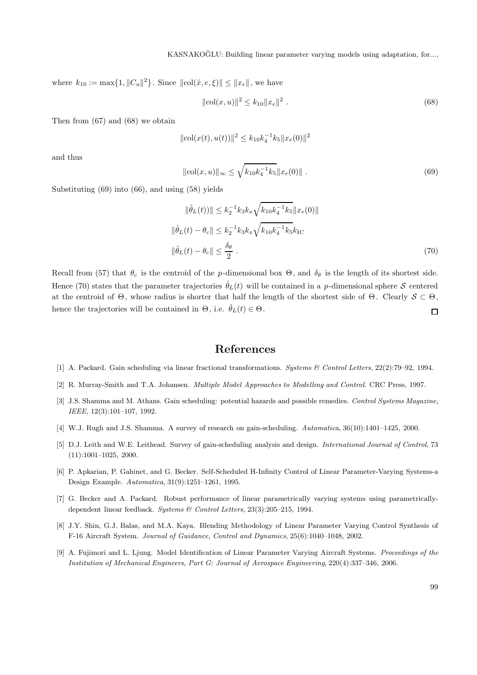where  $k_{10} := \max\{1, \|C_u\|^2\}$ . Since  $\|\text{col}(\hat{x}, e, \xi)\| \leq \|x_e\|$ , we have

$$
\|\text{col}(x, u)\|^2 \le k_{10} \|x_e\|^2 \tag{68}
$$

Then from (67) and (68) we obtain

$$
\|\text{col}(x(t), u(t))\|^2 \le k_{10}k_4^{-1}k_5\|x_e(0)\|^2
$$

and thus

$$
\|\text{col}(x, u)\|_{\infty} \le \sqrt{k_{10}k_4^{-1}k_5} \|x_e(0)\| \tag{69}
$$

Substituting (69) into (66), and using (58) yields

$$
\|\tilde{\theta}_L(t)\| \le k_2^{-1} k_3 k_x \sqrt{k_{10} k_4^{-1} k_5} \|x_e(0)\|
$$
  

$$
\|\hat{\theta}_L(t) - \theta_c\| \le k_2^{-1} k_3 k_x \sqrt{k_{10} k_4^{-1} k_5} k_{\text{IC}}
$$
  

$$
\|\hat{\theta}_L(t) - \theta_c\| \le \frac{\delta_\theta}{2} .
$$
 (70)

Recall from (57) that  $\theta_c$  is the centroid of the *p*-dimensional box  $\Theta$ , and  $\delta_{\theta}$  is the length of its shortest side. Hence (70) states that the parameter trajectories  $\hat{\theta}_L(t)$  will be contained in a *p*-dimensional sphere S centered at the centroid of  $\Theta$ , whose radius is shorter that half the length of the shortest side of  $\Theta$ . Clearly  $S \subset \Theta$ , hence the trajectories will be contained in  $\Theta$ , i.e.  $\hat{\theta}_L(t) \in \Theta$ .  $\Box$ 

#### **References**

- [1] A. Packard. Gain scheduling via linear fractional transformations. *Systems & Control Letters*, 22(2):79–92, 1994.
- [2] R. Murray-Smith and T.A. Johansen. *Multiple Model Approaches to Modelling and Control*. CRC Press, 1997.
- [3] J.S. Shamma and M. Athans. Gain scheduling: potential hazards and possible remedies. *Control Systems Magazine, IEEE*, 12(3):101–107, 1992.
- [4] W.J. Rugh and J.S. Shamma. A survey of research on gain-scheduling. *Automatica*, 36(10):1401–1425, 2000.
- [5] D.J. Leith and W.E. Leithead. Survey of gain-scheduling analysis and design. *International Journal of Control*, 73 (11):1001–1025, 2000.
- [6] P. Apkarian, P. Gahinet, and G. Becker. Self-Scheduled H-Infinity Control of Linear Parameter-Varying Systems-a Design Example. *Automatica*, 31(9):1251–1261, 1995.
- [7] G. Becker and A. Packard. Robust performance of linear parametrically varying systems using parametricallydependent linear feedback. *Systems & Control Letters*, 23(3):205–215, 1994.
- [8] J.Y. Shin, G.J. Balas, and M.A. Kaya. Blending Methodology of Linear Parameter Varying Control Synthesis of F-16 Aircraft System. *Journal of Guidance, Control and Dynamics*, 25(6):1040–1048, 2002.
- [9] A. Fujimori and L. Ljung. Model Identification of Linear Parameter Varying Aircraft Systems. *Proceedings of the Institution of Mechanical Engineers, Part G: Journal of Aerospace Engineering*, 220(4):337–346, 2006.